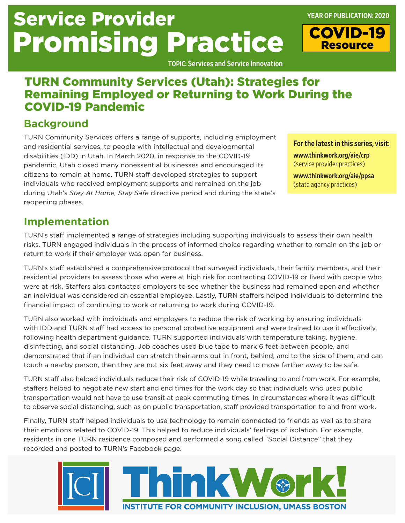# Service Provider Promising Practice

TOPIC: Services and Service Innovation

# TURN Community Services (Utah): Strategies for Remaining Employed or Returning to Work During the COVID-19 Pandemic

## **Background**

TURN Community Services offers a range of supports, including employment and residential services, to people with intellectual and developmental disabilities (IDD) in Utah. In March 2020, in response to the COVID-19 pandemic, Utah closed many nonessential businesses and encouraged its citizens to remain at home. TURN staff developed strategies to support individuals who received employment supports and remained on the job during Utah's *Stay At Home, Stay Safe* directive period and during the state's reopening phases.

#### For the latest in this series, visit:

[www.thinkwork.org/aie/crp](http://www.thinkwork.org/aie/crp) (service provider practices)

[www.thinkwork.org/aie/ppsa](http://www.thinkwork.org/aie/ppsa)  (state agency practices)

# **Implementation**

TURN's staff implemented a range of strategies including supporting individuals to assess their own health risks. TURN engaged individuals in the process of informed choice regarding whether to remain on the job or return to work if their employer was open for business.

TURN's staff established a comprehensive protocol that surveyed individuals, their family members, and their residential providers to assess those who were at high risk for contracting COVID-19 or lived with people who were at risk. Staffers also contacted employers to see whether the business had remained open and whether an individual was considered an essential employee. Lastly, TURN staffers helped individuals to determine the financial impact of continuing to work or returning to work during COVID-19.

TURN also worked with individuals and employers to reduce the risk of working by ensuring individuals with IDD and TURN staff had access to personal protective equipment and were trained to use it effectively, following health department guidance. TURN supported individuals with temperature taking, hygiene, disinfecting, and social distancing. Job coaches used blue tape to mark 6 feet between people, and demonstrated that if an individual can stretch their arms out in front, behind, and to the side of them, and can touch a nearby person, then they are not six feet away and they need to move farther away to be safe.

TURN staff also helped individuals reduce their risk of COVID-19 while traveling to and from work. For example, staffers helped to negotiate new start and end times for the work day so that individuals who used public transportation would not have to use transit at peak commuting times. In circumstances where it was difficult to observe social distancing, such as on public transportation, staff provided transportation to and from work.

Finally, TURN staff helped individuals to use technology to remain connected to friends as well as to share their emotions related to COVID-19. This helped to reduce individuals' feelings of isolation. For example, residents in one TURN residence composed and performed a song called "Social Distance" that they recorded and posted to TURN's Facebook page.